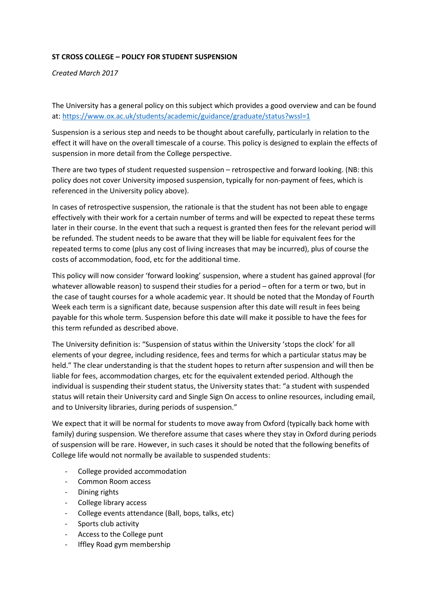## **ST CROSS COLLEGE – POLICY FOR STUDENT SUSPENSION**

*Created March 2017*

The University has a general policy on this subject which provides a good overview and can be found at: <https://www.ox.ac.uk/students/academic/guidance/graduate/status?wssl=1>

Suspension is a serious step and needs to be thought about carefully, particularly in relation to the effect it will have on the overall timescale of a course. This policy is designed to explain the effects of suspension in more detail from the College perspective.

There are two types of student requested suspension – retrospective and forward looking. (NB: this policy does not cover University imposed suspension, typically for non-payment of fees, which is referenced in the University policy above).

In cases of retrospective suspension, the rationale is that the student has not been able to engage effectively with their work for a certain number of terms and will be expected to repeat these terms later in their course. In the event that such a request is granted then fees for the relevant period will be refunded. The student needs to be aware that they will be liable for equivalent fees for the repeated terms to come (plus any cost of living increases that may be incurred), plus of course the costs of accommodation, food, etc for the additional time.

This policy will now consider 'forward looking' suspension, where a student has gained approval (for whatever allowable reason) to suspend their studies for a period – often for a term or two, but in the case of taught courses for a whole academic year. It should be noted that the Monday of Fourth Week each term is a significant date, because suspension after this date will result in fees being payable for this whole term. Suspension before this date will make it possible to have the fees for this term refunded as described above.

The University definition is: "Suspension of status within the University 'stops the clock' for all elements of your degree, including residence, fees and terms for which a particular status may be held." The clear understanding is that the student hopes to return after suspension and will then be liable for fees, accommodation charges, etc for the equivalent extended period. Although the individual is suspending their student status, the University states that: "a student with suspended status will retain their University card and Single Sign On access to online resources, including email, and to University libraries, during periods of suspension."

We expect that it will be normal for students to move away from Oxford (typically back home with family) during suspension. We therefore assume that cases where they stay in Oxford during periods of suspension will be rare. However, in such cases it should be noted that the following benefits of College life would not normally be available to suspended students:

- College provided accommodation
- Common Room access
- Dining rights
- College library access
- College events attendance (Ball, bops, talks, etc)
- Sports club activity
- Access to the College punt
- Iffley Road gym membership